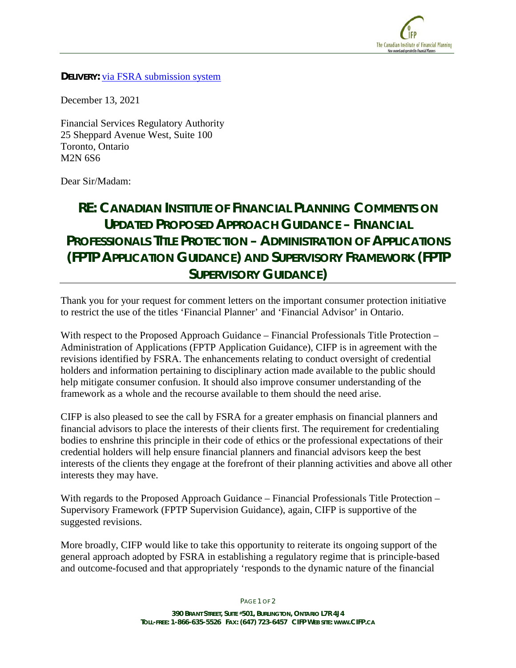

**DELIVERY: via FSRA submission system** 

December 13, 2021

Financial Services Regulatory Authority 25 Sheppard Avenue West, Suite 100 Toronto, Ontario M2N 6S6

Dear Sir/Madam:

## **RE: CANADIAN INSTITUTE OF FINANCIAL PLANNING COMMENTS ON UPDATED PROPOSED APPROACH GUIDANCE – FINANCIAL PROFESSIONALS TITLE PROTECTION – ADMINISTRATION OF APPLICATIONS (FPTP APPLICATION GUIDANCE) AND SUPERVISORY FRAMEWORK (FPTP SUPERVISORY GUIDANCE)**

Thank you for your request for comment letters on the important consumer protection initiative to restrict the use of the titles 'Financial Planner' and 'Financial Advisor' in Ontario.

With respect to the Proposed Approach Guidance – Financial Professionals Title Protection – Administration of Applications (FPTP Application Guidance), CIFP is in agreement with the revisions identified by FSRA. The enhancements relating to conduct oversight of credential holders and information pertaining to disciplinary action made available to the public should help mitigate consumer confusion. It should also improve consumer understanding of the framework as a whole and the recourse available to them should the need arise.

CIFP is also pleased to see the call by FSRA for a greater emphasis on financial planners and financial advisors to place the interests of their clients first. The requirement for credentialing bodies to enshrine this principle in their code of ethics or the professional expectations of their credential holders will help ensure financial planners and financial advisors keep the best interests of the clients they engage at the forefront of their planning activities and above all other interests they may have.

With regards to the Proposed Approach Guidance – Financial Professionals Title Protection – Supervisory Framework (FPTP Supervision Guidance), again, CIFP is supportive of the suggested revisions.

More broadly, CIFP would like to take this opportunity to reiterate its ongoing support of the general approach adopted by FSRA in establishing a regulatory regime that is principle-based and outcome-focused and that appropriately 'responds to the dynamic nature of the financial

PAGE 1 OF 2